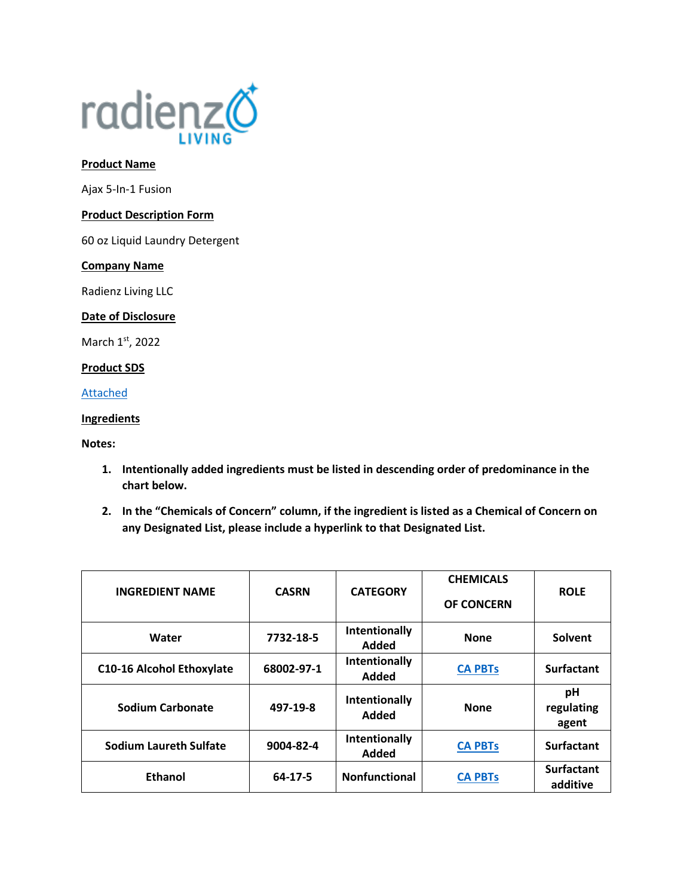

#### **Product Name**

Ajax 5-In-1 Fusion

# **Product Description Form**

60 oz Liquid Laundry Detergent

#### **Company Name**

Radienz Living LLC

# **Date of Disclosure**

March 1st, 2022

# **Product SDS**

[Attached](file://///srvfs02/home/mloesch/Files/Home%20Care/AJAX-2020/SDS/5-IN-1%20Fusion.pdf)

# **Ingredients**

**Notes:** 

- **1. Intentionally added ingredients must be listed in descending order of predominance in the chart below.**
- **2. In the "Chemicals of Concern" column, if the ingredient is listed as a Chemical of Concern on any Designated List, please include a hyperlink to that Designated List.**

| <b>INGREDIENT NAME</b>           | <b>CASRN</b> | <b>CATEGORY</b>        | <b>CHEMICALS</b><br><b>OF CONCERN</b> | <b>ROLE</b>                   |
|----------------------------------|--------------|------------------------|---------------------------------------|-------------------------------|
| Water                            | 7732-18-5    | Intentionally<br>Added | <b>None</b>                           | Solvent                       |
| <b>C10-16 Alcohol Ethoxylate</b> | 68002-97-1   | Intentionally<br>Added | <b>CA PBTs</b>                        | <b>Surfactant</b>             |
| Sodium Carbonate                 | 497-19-8     | Intentionally<br>Added | <b>None</b>                           | рH<br>regulating<br>agent     |
| <b>Sodium Laureth Sulfate</b>    | 9004-82-4    | Intentionally<br>Added | <b>CA PBTs</b>                        | <b>Surfactant</b>             |
| <b>Ethanol</b>                   | 64-17-5      | <b>Nonfunctional</b>   | <b>CA PBTs</b>                        | <b>Surfactant</b><br>additive |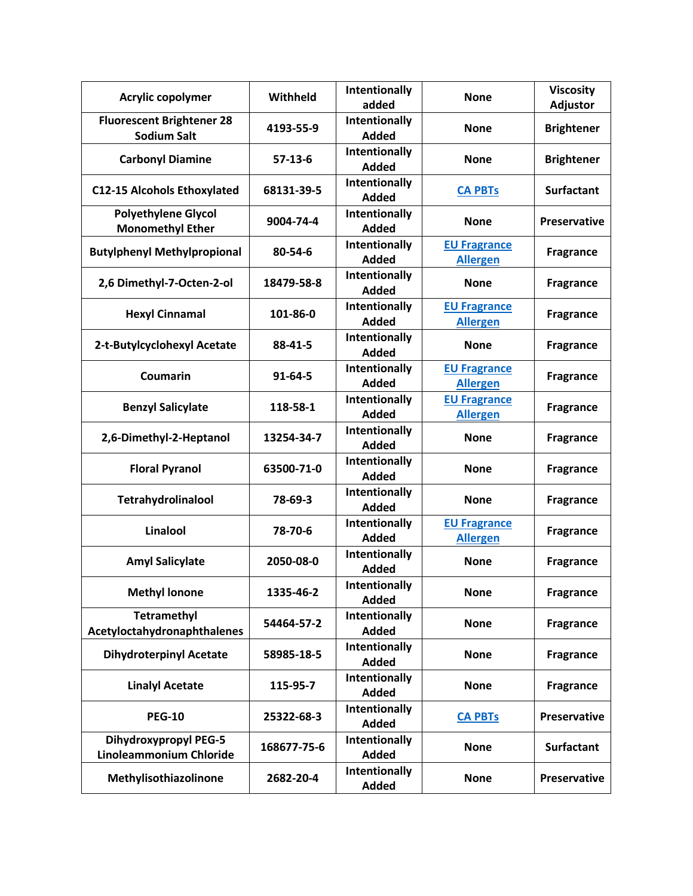| Acrylic copolymer                                              | Withheld      | Intentionally<br>added               | <b>None</b>                            | <b>Viscosity</b><br>Adjustor |
|----------------------------------------------------------------|---------------|--------------------------------------|----------------------------------------|------------------------------|
| <b>Fluorescent Brightener 28</b><br><b>Sodium Salt</b>         | 4193-55-9     | Intentionally<br>Added               | <b>None</b>                            | <b>Brightener</b>            |
| <b>Carbonyl Diamine</b>                                        | $57-13-6$     | Intentionally<br><b>Added</b>        | <b>None</b>                            | <b>Brightener</b>            |
| <b>C12-15 Alcohols Ethoxylated</b>                             | 68131-39-5    | Intentionally<br><b>Added</b>        | <b>CA PBTs</b>                         | <b>Surfactant</b>            |
| <b>Polyethylene Glycol</b><br><b>Monomethyl Ether</b>          | 9004-74-4     | Intentionally<br>Added               | <b>None</b>                            | <b>Preservative</b>          |
| <b>Butylphenyl Methylpropional</b>                             | 80-54-6       | Intentionally<br><b>Added</b>        | <b>EU Fragrance</b><br><b>Allergen</b> | <b>Fragrance</b>             |
| 2,6 Dimethyl-7-Octen-2-ol                                      | 18479-58-8    | Intentionally<br><b>Added</b>        | <b>None</b>                            | <b>Fragrance</b>             |
| <b>Hexyl Cinnamal</b>                                          | 101-86-0      | Intentionally<br><b>Added</b>        | <b>EU Fragrance</b><br><b>Allergen</b> | <b>Fragrance</b>             |
| 2-t-Butylcyclohexyl Acetate                                    | 88-41-5       | Intentionally<br><b>Added</b>        | <b>None</b>                            | <b>Fragrance</b>             |
| Coumarin                                                       | $91 - 64 - 5$ | <b>Intentionally</b><br><b>Added</b> | <b>EU Fragrance</b><br><b>Allergen</b> | <b>Fragrance</b>             |
| <b>Benzyl Salicylate</b>                                       | 118-58-1      | Intentionally<br><b>Added</b>        | <b>EU Fragrance</b><br><b>Allergen</b> | <b>Fragrance</b>             |
| 2,6-Dimethyl-2-Heptanol                                        | 13254-34-7    | Intentionally<br><b>Added</b>        | <b>None</b>                            | <b>Fragrance</b>             |
| <b>Floral Pyranol</b>                                          | 63500-71-0    | Intentionally<br><b>Added</b>        | <b>None</b>                            | <b>Fragrance</b>             |
| Tetrahydrolinalool                                             | 78-69-3       | Intentionally<br><b>Added</b>        | <b>None</b>                            | <b>Fragrance</b>             |
| Linalool                                                       | 78-70-6       | Intentionally<br><b>Added</b>        | <b>EU Fragrance</b><br><b>Allergen</b> | <b>Fragrance</b>             |
| <b>Amyl Salicylate</b>                                         | 2050-08-0     | Intentionally<br><b>Added</b>        | <b>None</b>                            | <b>Fragrance</b>             |
| <b>Methyl lonone</b>                                           | 1335-46-2     | Intentionally<br><b>Added</b>        | <b>None</b>                            | <b>Fragrance</b>             |
| <b>Tetramethyl</b><br>Acetyloctahydronaphthalenes              | 54464-57-2    | Intentionally<br><b>Added</b>        | <b>None</b>                            | <b>Fragrance</b>             |
| <b>Dihydroterpinyl Acetate</b>                                 | 58985-18-5    | Intentionally<br><b>Added</b>        | <b>None</b>                            | <b>Fragrance</b>             |
| <b>Linalyl Acetate</b>                                         | 115-95-7      | Intentionally<br><b>Added</b>        | <b>None</b>                            | <b>Fragrance</b>             |
| <b>PEG-10</b>                                                  | 25322-68-3    | Intentionally<br><b>Added</b>        | <b>CA PBTs</b>                         | <b>Preservative</b>          |
| <b>Dihydroxypropyl PEG-5</b><br><b>Linoleammonium Chloride</b> | 168677-75-6   | Intentionally<br><b>Added</b>        | <b>None</b>                            | <b>Surfactant</b>            |
| Methylisothiazolinone                                          | 2682-20-4     | Intentionally<br><b>Added</b>        | <b>None</b>                            | <b>Preservative</b>          |